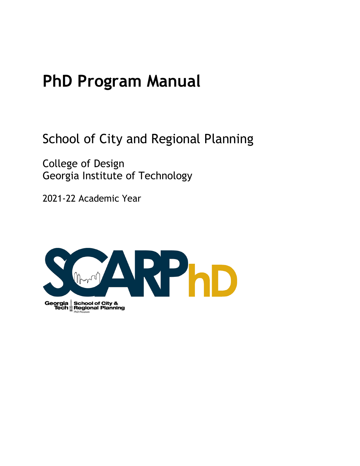# **PhD Program Manual**

School of City and Regional Planning

College of Design Georgia Institute of Technology

2021-22 Academic Year

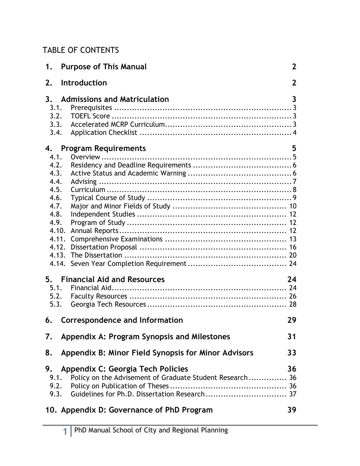### TABLE OF CONTENTS

| 1.                                                                                                             | <b>Purpose of This Manual</b>                                                                                                                       | $\mathbf{2}$ |
|----------------------------------------------------------------------------------------------------------------|-----------------------------------------------------------------------------------------------------------------------------------------------------|--------------|
| 2.                                                                                                             | Introduction                                                                                                                                        | $\mathbf{2}$ |
| 3 <sub>1</sub><br>3.1.<br>3.2.<br>3.3.<br>3.4.                                                                 | <b>Admissions and Matriculation</b>                                                                                                                 | 3            |
| 4.<br>4.1.<br>4.2.<br>4.3.<br>4.4.<br>4.5.<br>4.6.<br>4.7.<br>4.8.<br>4.9.<br>4.10.<br>4.11.<br>4.12.<br>4.13. | <b>Program Requirements</b>                                                                                                                         | 5            |
| 5.<br>5.1.<br>5.2.<br>5.3.                                                                                     | <b>Financial Aid and Resources</b>                                                                                                                  | 24           |
| 6.                                                                                                             | Correspondence and Information                                                                                                                      | 29           |
| 7.                                                                                                             | Appendix A: Program Synopsis and Milestones                                                                                                         | 31           |
| 8.                                                                                                             | Appendix B: Minor Field Synopsis for Minor Advisors                                                                                                 | 33           |
| 9.<br>9.1.<br>9.2.                                                                                             | Appendix C: Georgia Tech Policies<br>Policy on the Advisement of Graduate Student Research 36<br>9.3. Guidelines for Ph.D. Dissertation Research 37 | 36           |
|                                                                                                                | 10. Appendix D: Governance of PhD Program                                                                                                           | 39           |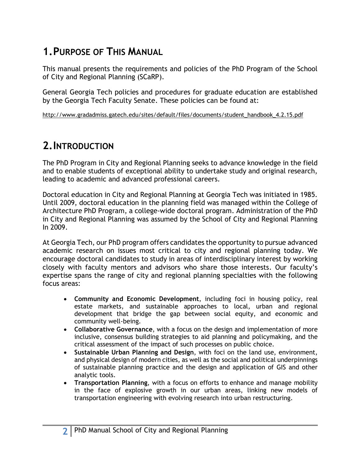## **1.PURPOSE OF THIS MANUAL**

This manual presents the requirements and policies of the PhD Program of the School of City and Regional Planning (SCaRP).

General Georgia Tech policies and procedures for graduate education are established by the Georgia Tech Faculty Senate. These policies can be found at:

http://www.gradadmiss.gatech.edu/sites/default/files/documents/student\_handbook\_4.2.15.pdf

### **2.INTRODUCTION**

The PhD Program in City and Regional Planning seeks to advance knowledge in the field and to enable students of exceptional ability to undertake study and original research, leading to academic and advanced professional careers.

Doctoral education in City and Regional Planning at Georgia Tech was initiated in 1985. Until 2009, doctoral education in the planning field was managed within the College of Architecture PhD Program, a college-wide doctoral program. Administration of the PhD in City and Regional Planning was assumed by the School of City and Regional Planning In 2009.

At Georgia Tech, our PhD program offers candidates the opportunity to pursue advanced academic research on issues most critical to city and regional planning today. We encourage doctoral candidates to study in areas of interdisciplinary interest by working closely with faculty mentors and advisors who share those interests. Our faculty's expertise spans the range of city and regional planning specialties with the following focus areas:

- **Community and Economic Development**, including foci in housing policy, real estate markets, and sustainable approaches to local, urban and regional development that bridge the gap between social equity, and economic and community well-being.
- **Collaborative Governance**, with a focus on the design and implementation of more inclusive, consensus building strategies to aid planning and policymaking, and the critical assessment of the impact of such processes on public choice.
- **Sustainable Urban Planning and Design**, with foci on the land use, environment, and physical design of modern cities, as well as the social and political underpinnings of sustainable planning practice and the design and application of GIS and other analytic tools.
- **Transportation Planning**, with a focus on efforts to enhance and manage mobility in the face of explosive growth in our urban areas, linking new models of transportation engineering with evolving research into urban restructuring.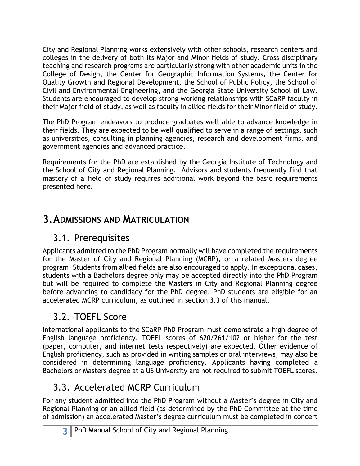City and Regional Planning works extensively with other schools, research centers and colleges in the delivery of both its Major and Minor fields of study. Cross disciplinary teaching and research programs are particularly strong with other academic units in the College of Design, the Center for Geographic Information Systems, the Center for Quality Growth and Regional Development, the School of Public Policy, the School of Civil and Environmental Engineering, and the Georgia State University School of Law. Students are encouraged to develop strong working relationships with SCaRP faculty in their Major field of study, as well as faculty in allied fields for their Minor field of study.

The PhD Program endeavors to produce graduates well able to advance knowledge in their fields. They are expected to be well qualified to serve in a range of settings, such as universities, consulting in planning agencies, research and development firms, and government agencies and advanced practice.

Requirements for the PhD are established by the Georgia Institute of Technology and the School of City and Regional Planning. Advisors and students frequently find that mastery of a field of study requires additional work beyond the basic requirements presented here.

### **3.ADMISSIONS AND MATRICULATION**

### 3.1. Prerequisites

Applicants admitted to the PhD Program normally will have completed the requirements for the Master of City and Regional Planning (MCRP), or a related Masters degree program. Students from allied fields are also encouraged to apply. In exceptional cases, students with a Bachelors degree only may be accepted directly into the PhD Program but will be required to complete the Masters in City and Regional Planning degree before advancing to candidacy for the PhD degree. PhD students are eligible for an accelerated MCRP curriculum, as outlined in section 3.3 of this manual.

## 3.2. TOEFL Score

International applicants to the SCaRP PhD Program must demonstrate a high degree of English language proficiency. TOEFL scores of 620/261/102 or higher for the test (paper, computer, and internet tests respectively) are expected. Other evidence of English proficiency, such as provided in writing samples or oral interviews, may also be considered in determining language proficiency. Applicants having completed a Bachelors or Masters degree at a US University are not required to submit TOEFL scores.

## 3.3. Accelerated MCRP Curriculum

For any student admitted into the PhD Program without a Master's degree in City and Regional Planning or an allied field (as determined by the PhD Committee at the time of admission) an accelerated Master's degree curriculum must be completed in concert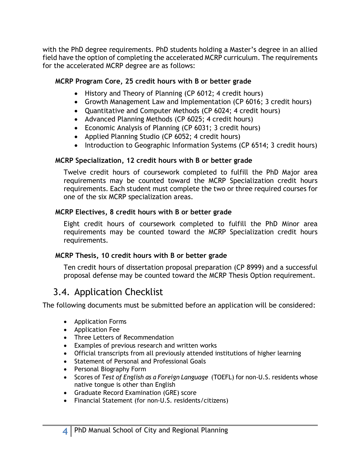with the PhD degree requirements. PhD students holding a Master's degree in an allied field have the option of completing the accelerated MCRP curriculum. The requirements for the accelerated MCRP degree are as follows:

#### **MCRP Program Core, 25 credit hours with B or better grade**

- History and Theory of Planning (CP 6012; 4 credit hours)
- Growth Management Law and Implementation (CP 6016; 3 credit hours)
- Quantitative and Computer Methods (CP 6024; 4 credit hours)
- Advanced Planning Methods (CP 6025; 4 credit hours)
- Economic Analysis of Planning (CP 6031; 3 credit hours)
- Applied Planning Studio (CP 6052; 4 credit hours)
- Introduction to Geographic Information Systems (CP 6514; 3 credit hours)

#### **MCRP Specialization, 12 credit hours with B or better grade**

Twelve credit hours of coursework completed to fulfill the PhD Major area requirements may be counted toward the MCRP Specialization credit hours requirements. Each student must complete the two or three required courses for one of the six MCRP specialization areas.

#### **MCRP Electives, 8 credit hours with B or better grade**

Eight credit hours of coursework completed to fulfill the PhD Minor area requirements may be counted toward the MCRP Specialization credit hours requirements.

#### **MCRP Thesis, 10 credit hours with B or better grade**

Ten credit hours of dissertation proposal preparation (CP 8999) and a successful proposal defense may be counted toward the MCRP Thesis Option requirement.

### 3.4. Application Checklist

The following documents must be submitted before an application will be considered:

- Application Forms
- Application Fee
- Three Letters of Recommendation
- Examples of previous research and written works
- Official transcripts from all previously attended institutions of higher learning
- Statement of Personal and Professional Goals
- Personal Biography Form
- Scores of *Test of English as a Foreign Language* (TOEFL) for non-U.S. residents whose native tongue is other than English
- Graduate Record Examination (GRE) score
- Financial Statement (for non-U.S. residents/citizens)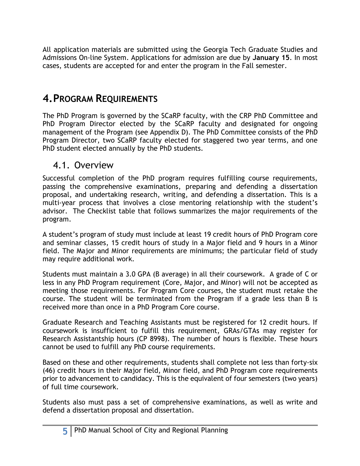All application materials are submitted using the Georgia Tech Graduate Studies and Admissions On-line System. Applications for admission are due by **January 15**. In most cases, students are accepted for and enter the program in the Fall semester.

### **4.PROGRAM REQUIREMENTS**

The PhD Program is governed by the SCaRP faculty, with the CRP PhD Committee and PhD Program Director elected by the SCaRP faculty and designated for ongoing management of the Program (see Appendix D). The PhD Committee consists of the PhD Program Director, two SCaRP faculty elected for staggered two year terms, and one PhD student elected annually by the PhD students.

#### 4.1. Overview

Successful completion of the PhD program requires fulfilling course requirements, passing the comprehensive examinations, preparing and defending a dissertation proposal, and undertaking research, writing, and defending a dissertation. This is a multi-year process that involves a close mentoring relationship with the student's advisor. The Checklist table that follows summarizes the major requirements of the program.

A student's program of study must include at least 19 credit hours of PhD Program core and seminar classes, 15 credit hours of study in a Major field and 9 hours in a Minor field. The Major and Minor requirements are minimums; the particular field of study may require additional work.

Students must maintain a 3.0 GPA (B average) in all their coursework. A grade of C or less in any PhD Program requirement (Core, Major, and Minor) will not be accepted as meeting those requirements. For Program Core courses, the student must retake the course. The student will be terminated from the Program if a grade less than B is received more than once in a PhD Program Core course.

Graduate Research and Teaching Assistants must be registered for 12 credit hours. If coursework is insufficient to fulfill this requirement, GRAs/GTAs may register for Research Assistantship hours (CP 8998). The number of hours is flexible. These hours cannot be used to fulfill any PhD course requirements.

Based on these and other requirements, students shall complete not less than forty-six (46) credit hours in their Major field, Minor field, and PhD Program core requirements prior to advancement to candidacy. This is the equivalent of four semesters (two years) of full time coursework.

Students also must pass a set of comprehensive examinations, as well as write and defend a dissertation proposal and dissertation.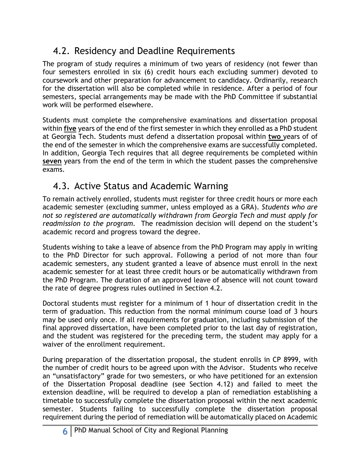## 4.2. Residency and Deadline Requirements

The program of study requires a minimum of two years of residency (not fewer than four semesters enrolled in six (6) credit hours each excluding summer) devoted to coursework and other preparation for advancement to candidacy. Ordinarily, research for the dissertation will also be completed while in residence. After a period of four semesters, special arrangements may be made with the PhD Committee if substantial work will be performed elsewhere.

Students must complete the comprehensive examinations and dissertation proposal within **five** years of the end of the first semester in which they enrolled as a PhD student at Georgia Tech. Students must defend a dissertation proposal within **two** years of of the end of the semester in which the comprehensive exams are successfully completed. In addition, Georgia Tech requires that all degree requirements be completed within **seven** years from the end of the term in which the student passes the comprehensive exams.

### 4.3. Active Status and Academic Warning

To remain actively enrolled, students must register for three credit hours or more each academic semester (excluding summer, unless employed as a GRA). *Students who are not so registered are automatically withdrawn from Georgia Tech and must apply for readmission to the program.* The readmission decision will depend on the student's academic record and progress toward the degree.

Students wishing to take a leave of absence from the PhD Program may apply in writing to the PhD Director for such approval. Following a period of not more than four academic semesters, any student granted a leave of absence must enroll in the next academic semester for at least three credit hours or be automatically withdrawn from the PhD Program. The duration of an approved leave of absence will not count toward the rate of degree progress rules outlined in Section 4.2.

Doctoral students must register for a minimum of 1 hour of dissertation credit in the term of graduation. This reduction from the normal minimum course load of 3 hours may be used only once. If all requirements for graduation, including submission of the final approved dissertation, have been completed prior to the last day of registration, and the student was registered for the preceding term, the student may apply for a waiver of the enrollment requirement.

During preparation of the dissertation proposal, the student enrolls in CP 8999, with the number of credit hours to be agreed upon with the Advisor. Students who receive an "unsatisfactory" grade for two semesters, or who have petitioned for an extension of the Dissertation Proposal deadline (see Section 4.12) and failed to meet the extension deadline, will be required to develop a plan of remediation establishing a timetable to successfully complete the dissertation proposal within the next academic semester. Students failing to successfully complete the dissertation proposal requirement during the period of remediation will be automatically placed on Academic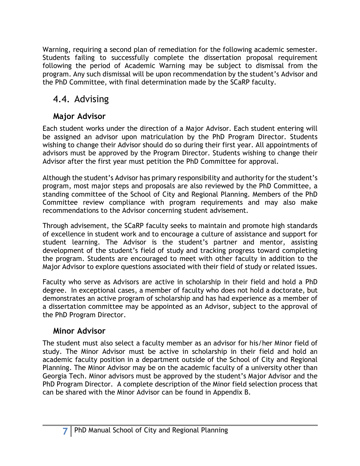Warning, requiring a second plan of remediation for the following academic semester. Students failing to successfully complete the dissertation proposal requirement following the period of Academic Warning may be subject to dismissal from the program. Any such dismissal will be upon recommendation by the student's Advisor and the PhD Committee, with final determination made by the SCaRP faculty.

### 4.4. Advising

### **Major Advisor**

Each student works under the direction of a Major Advisor. Each student entering will be assigned an advisor upon matriculation by the PhD Program Director. Students wishing to change their Advisor should do so during their first year. All appointments of advisors must be approved by the Program Director. Students wishing to change their Advisor after the first year must petition the PhD Committee for approval.

Although the student's Advisor has primary responsibility and authority for the student's program, most major steps and proposals are also reviewed by the PhD Committee, a standing committee of the School of City and Regional Planning. Members of the PhD Committee review compliance with program requirements and may also make recommendations to the Advisor concerning student advisement.

Through advisement, the SCaRP faculty seeks to maintain and promote high standards of excellence in student work and to encourage a culture of assistance and support for student learning. The Advisor is the student's partner and mentor, assisting development of the student's field of study and tracking progress toward completing the program. Students are encouraged to meet with other faculty in addition to the Major Advisor to explore questions associated with their field of study or related issues.

Faculty who serve as Advisors are active in scholarship in their field and hold a PhD degree. In exceptional cases, a member of faculty who does not hold a doctorate, but demonstrates an active program of scholarship and has had experience as a member of a dissertation committee may be appointed as an Advisor, subject to the approval of the PhD Program Director.

### **Minor Advisor**

The student must also select a faculty member as an advisor for his/her Minor field of study. The Minor Advisor must be active in scholarship in their field and hold an academic faculty position in a department outside of the School of City and Regional Planning. The Minor Advisor may be on the academic faculty of a university other than Georgia Tech. Minor advisors must be approved by the student's Major Advisor and the PhD Program Director. A complete description of the Minor field selection process that can be shared with the Minor Advisor can be found in Appendix B.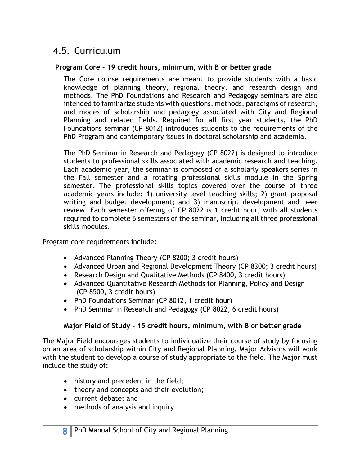### 4.5. Curriculum

#### **Program Core - 19 credit hours, minimum, with B or better grade**

The Core course requirements are meant to provide students with a basic knowledge of planning theory, regional theory, and research design and methods. The PhD Foundations and Research and Pedagogy seminars are also intended to familiarize students with questions, methods, paradigms of research, and modes of scholarship and pedagogy associated with City and Regional Planning and related fields. Required for all first year students, the PhD Foundations seminar (CP 8012) introduces students to the requirements of the PhD Program and contemporary issues in doctoral scholarship and academia.

The PhD Seminar in Research and Pedagogy (CP 8022) is designed to introduce students to professional skills associated with academic research and teaching. Each academic year, the seminar is composed of a scholarly speakers series in the Fall semester and a rotating professional skills module in the Spring semester. The professional skills topics covered over the course of three academic years include: 1) university level teaching skills; 2) grant proposal writing and budget development; and 3) manuscript development and peer review. Each semester offering of CP 8022 is 1 credit hour, with all students required to complete 6 semesters of the seminar, including all three professional skills modules.

Program core requirements include:

- Advanced Planning Theory (CP 8200; 3 credit hours)
- Advanced Urban and Regional Development Theory (CP 8300; 3 credit hours)
- Research Design and Qualitative Methods (CP 8400, 3 credit hours)
- Advanced Quantitative Research Methods for Planning, Policy and Design (CP 8500, 3 credit hours)
- PhD Foundations Seminar (CP 8012, 1 credit hour)
- PhD Seminar in Research and Pedagogy (CP 8022, 6 credit hours)

#### **Major Field of Study - 15 credit hours, minimum, with B or better grade**

The Major Field encourages students to individualize their course of study by focusing on an area of scholarship within City and Regional Planning. Major Advisors will work with the student to develop a course of study appropriate to the field. The Major must include the study of:

- history and precedent in the field;
- theory and concepts and their evolution;
- current debate; and
- methods of analysis and inquiry.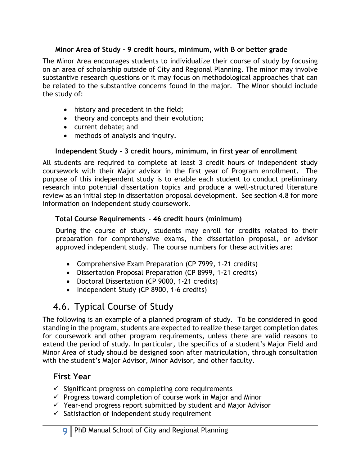#### **Minor Area of Study - 9 credit hours, minimum, with B or better grade**

The Minor Area encourages students to individualize their course of study by focusing on an area of scholarship outside of City and Regional Planning. The minor may involve substantive research questions or it may focus on methodological approaches that can be related to the substantive concerns found in the major. The Minor should include the study of:

- history and precedent in the field;
- theory and concepts and their evolution;
- current debate; and
- methods of analysis and inquiry.

#### **Independent Study - 3 credit hours, minimum, in first year of enrollment**

All students are required to complete at least 3 credit hours of independent study coursework with their Major advisor in the first year of Program enrollment. The purpose of this independent study is to enable each student to conduct preliminary research into potential dissertation topics and produce a well-structured literature review as an initial step in dissertation proposal development. See section 4.8 for more information on independent study coursework.

#### **Total Course Requirements - 46 credit hours (minimum)**

During the course of study, students may enroll for credits related to their preparation for comprehensive exams, the dissertation proposal, or advisor approved independent study. The course numbers for these activities are:

- Comprehensive Exam Preparation (CP 7999, 1-21 credits)
- Dissertation Proposal Preparation (CP 8999, 1-21 credits)
- Doctoral Dissertation (CP 9000, 1-21 credits)
- Independent Study (CP 8900, 1-6 credits)

## 4.6. Typical Course of Study

The following is an example of a planned program of study. To be considered in good standing in the program, students are expected to realize these target completion dates for coursework and other program requirements, unless there are valid reasons to extend the period of study. In particular, the specifics of a student's Major Field and Minor Area of study should be designed soon after matriculation, through consultation with the student's Major Advisor, Minor Advisor, and other faculty.

#### **First Year**

- $\checkmark$  Significant progress on completing core requirements
- $\checkmark$  Progress toward completion of course work in Major and Minor
- $\checkmark$  Year-end progress report submitted by student and Major Advisor
- $\checkmark$  Satisfaction of independent study requirement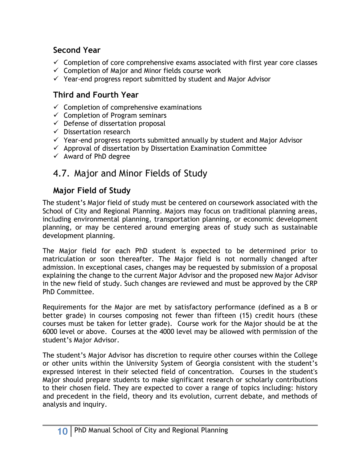### **Second Year**

- $\checkmark$  Completion of core comprehensive exams associated with first year core classes
- $\checkmark$  Completion of Major and Minor fields course work
- $\checkmark$  Year-end progress report submitted by student and Major Advisor

### **Third and Fourth Year**

- $\checkmark$  Completion of comprehensive examinations
- $\checkmark$  Completion of Program seminars
- $\checkmark$  Defense of dissertation proposal
- $\checkmark$  Dissertation research
- $\checkmark$  Year-end progress reports submitted annually by student and Major Advisor
- $\checkmark$  Approval of dissertation by Dissertation Examination Committee
- $\checkmark$  Award of PhD degree

### 4.7. Major and Minor Fields of Study

### **Major Field of Study**

The student's Major field of study must be centered on coursework associated with the School of City and Regional Planning. Majors may focus on traditional planning areas, including environmental planning, transportation planning, or economic development planning, or may be centered around emerging areas of study such as sustainable development planning.

The Major field for each PhD student is expected to be determined prior to matriculation or soon thereafter. The Major field is not normally changed after admission. In exceptional cases, changes may be requested by submission of a proposal explaining the change to the current Major Advisor and the proposed new Major Advisor in the new field of study. Such changes are reviewed and must be approved by the CRP PhD Committee.

Requirements for the Major are met by satisfactory performance (defined as a B or better grade) in courses composing not fewer than fifteen (15) credit hours (these courses must be taken for letter grade). Course work for the Major should be at the 6000 level or above. Courses at the 4000 level may be allowed with permission of the student's Major Advisor.

The student's Major Advisor has discretion to require other courses within the College or other units within the University System of Georgia consistent with the student's expressed interest in their selected field of concentration. Courses in the student's Major should prepare students to make significant research or scholarly contributions to their chosen field. They are expected to cover a range of topics including: history and precedent in the field, theory and its evolution, current debate, and methods of analysis and inquiry.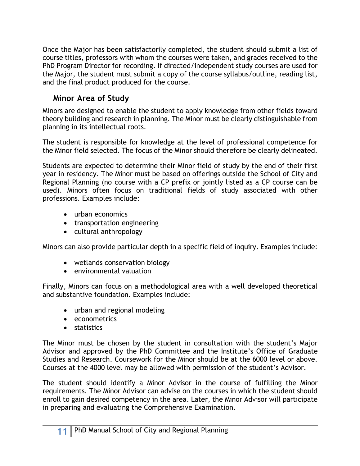Once the Major has been satisfactorily completed, the student should submit a list of course titles, professors with whom the courses were taken, and grades received to the PhD Program Director for recording. If directed/independent study courses are used for the Major, the student must submit a copy of the course syllabus/outline, reading list, and the final product produced for the course.

### **Minor Area of Study**

Minors are designed to enable the student to apply knowledge from other fields toward theory building and research in planning. The Minor must be clearly distinguishable from planning in its intellectual roots.

The student is responsible for knowledge at the level of professional competence for the Minor field selected. The focus of the Minor should therefore be clearly delineated.

Students are expected to determine their Minor field of study by the end of their first year in residency. The Minor must be based on offerings outside the School of City and Regional Planning (no course with a CP prefix or jointly listed as a CP course can be used). Minors often focus on traditional fields of study associated with other professions. Examples include:

- urban economics
- transportation engineering
- cultural anthropology

Minors can also provide particular depth in a specific field of inquiry. Examples include:

- wetlands conservation biology
- environmental valuation

Finally, Minors can focus on a methodological area with a well developed theoretical and substantive foundation. Examples include:

- urban and regional modeling
- econometrics
- statistics

The Minor must be chosen by the student in consultation with the student's Major Advisor and approved by the PhD Committee and the Institute's Office of Graduate Studies and Research. Coursework for the Minor should be at the 6000 level or above. Courses at the 4000 level may be allowed with permission of the student's Advisor.

The student should identify a Minor Advisor in the course of fulfilling the Minor requirements. The Minor Advisor can advise on the courses in which the student should enroll to gain desired competency in the area. Later, the Minor Advisor will participate in preparing and evaluating the Comprehensive Examination.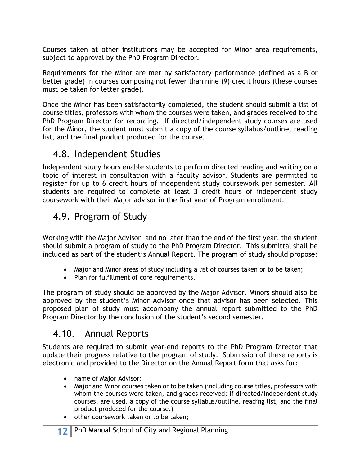Courses taken at other institutions may be accepted for Minor area requirements, subject to approval by the PhD Program Director.

Requirements for the Minor are met by satisfactory performance (defined as a B or better grade) in courses composing not fewer than nine (9) credit hours (these courses must be taken for letter grade).

Once the Minor has been satisfactorily completed, the student should submit a list of course titles, professors with whom the courses were taken, and grades received to the PhD Program Director for recording. If directed/independent study courses are used for the Minor, the student must submit a copy of the course syllabus/outline, reading list, and the final product produced for the course.

### 4.8. Independent Studies

Independent study hours enable students to perform directed reading and writing on a topic of interest in consultation with a faculty advisor. Students are permitted to register for up to 6 credit hours of independent study coursework per semester. All students are required to complete at least 3 credit hours of independent study coursework with their Major advisor in the first year of Program enrollment.

### 4.9. Program of Study

Working with the Major Advisor, and no later than the end of the first year, the student should submit a program of study to the PhD Program Director. This submittal shall be included as part of the student's Annual Report. The program of study should propose:

- Major and Minor areas of study including a list of courses taken or to be taken;
- Plan for fulfillment of core requirements.

The program of study should be approved by the Major Advisor. Minors should also be approved by the student's Minor Advisor once that advisor has been selected. This proposed plan of study must accompany the annual report submitted to the PhD Program Director by the conclusion of the student's second semester.

### 4.10. Annual Reports

Students are required to submit year-end reports to the PhD Program Director that update their progress relative to the program of study. Submission of these reports is electronic and provided to the Director on the Annual Report form that asks for:

- name of Major Advisor;
- Major and Minor courses taken or to be taken (including course titles, professors with whom the courses were taken, and grades received; if directed/independent study courses, are used, a copy of the course syllabus/outline, reading list, and the final product produced for the course.)
- other coursework taken or to be taken;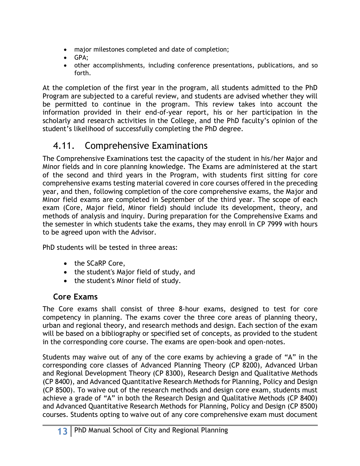- major milestones completed and date of completion;
- GPA;
- other accomplishments, including conference presentations, publications, and so forth.

At the completion of the first year in the program, all students admitted to the PhD Program are subjected to a careful review, and students are advised whether they will be permitted to continue in the program. This review takes into account the information provided in their end-of-year report, his or her participation in the scholarly and research activities in the College, and the PhD faculty's opinion of the student's likelihood of successfully completing the PhD degree.

### 4.11. Comprehensive Examinations

The Comprehensive Examinations test the capacity of the student in his/her Major and Minor fields and in core planning knowledge. The Exams are administered at the start of the second and third years in the Program, with students first sitting for core comprehensive exams testing material covered in core courses offered in the preceding year, and then, following completion of the core comprehensive exams, the Major and Minor field exams are completed in September of the third year. The scope of each exam (Core, Major field, Minor field) should include its development, theory, and methods of analysis and inquiry. During preparation for the Comprehensive Exams and the semester in which students take the exams, they may enroll in CP 7999 with hours to be agreed upon with the Advisor.

PhD students will be tested in three areas:

- the SCaRP Core,
- the student's Major field of study, and
- the student's Minor field of study.

### **Core Exams**

The Core exams shall consist of three 8-hour exams, designed to test for core competency in planning. The exams cover the three core areas of planning theory, urban and regional theory, and research methods and design. Each section of the exam will be based on a bibliography or specified set of concepts, as provided to the student in the corresponding core course. The exams are open-book and open-notes.

Students may waive out of any of the core exams by achieving a grade of "A" in the corresponding core classes of Advanced Planning Theory (CP 8200), Advanced Urban and Regional Development Theory (CP 8300), Research Design and Qualitative Methods (CP 8400), and Advanced Quantitative Research Methods for Planning, Policy and Design (CP 8500). To waive out of the research methods and design core exam, students must achieve a grade of "A" in both the Research Design and Qualitative Methods (CP 8400) and Advanced Quantitative Research Methods for Planning, Policy and Design (CP 8500) courses. Students opting to waive out of any core comprehensive exam must document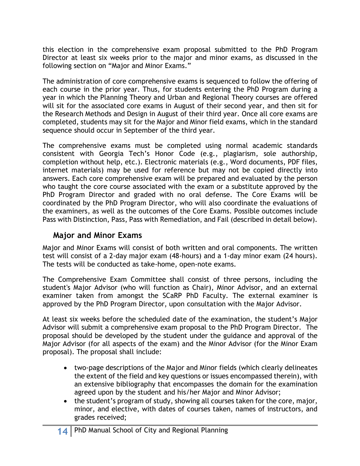this election in the comprehensive exam proposal submitted to the PhD Program Director at least six weeks prior to the major and minor exams, as discussed in the following section on "Major and Minor Exams."

The administration of core comprehensive exams is sequenced to follow the offering of each course in the prior year. Thus, for students entering the PhD Program during a year in which the Planning Theory and Urban and Regional Theory courses are offered will sit for the associated core exams in August of their second year, and then sit for the Research Methods and Design in August of their third year. Once all core exams are completed, students may sit for the Major and Minor field exams, which in the standard sequence should occur in September of the third year.

The comprehensive exams must be completed using normal academic standards consistent with Georgia Tech's Honor Code (e.g., plagiarism, sole authorship, completion without help, etc.). Electronic materials (e.g., Word documents, PDF files, internet materials) may be used for reference but may not be copied directly into answers. Each core comprehensive exam will be prepared and evaluated by the person who taught the core course associated with the exam or a substitute approved by the PhD Program Director and graded with no oral defense. The Core Exams will be coordinated by the PhD Program Director, who will also coordinate the evaluations of the examiners, as well as the outcomes of the Core Exams. Possible outcomes include Pass with Distinction, Pass, Pass with Remediation, and Fail (described in detail below).

#### **Major and Minor Exams**

Major and Minor Exams will consist of both written and oral components. The written test will consist of a 2-day major exam (48-hours) and a 1-day minor exam (24 hours). The tests will be conducted as take-home, open-note exams.

The Comprehensive Exam Committee shall consist of three persons, including the student's Major Advisor (who will function as Chair), Minor Advisor, and an external examiner taken from amongst the SCaRP PhD Faculty. The external examiner is approved by the PhD Program Director, upon consultation with the Major Advisor.

At least six weeks before the scheduled date of the examination, the student's Major Advisor will submit a comprehensive exam proposal to the PhD Program Director. The proposal should be developed by the student under the guidance and approval of the Major Advisor (for all aspects of the exam) and the Minor Advisor (for the Minor Exam proposal). The proposal shall include:

- two-page descriptions of the Major and Minor fields (which clearly delineates the extent of the field and key questions or issues encompassed therein), with an extensive bibliography that encompasses the domain for the examination agreed upon by the student and his/her Major and Minor Advisor;
- the student's program of study, showing all courses taken for the core, major, minor, and elective, with dates of courses taken, names of instructors, and grades received;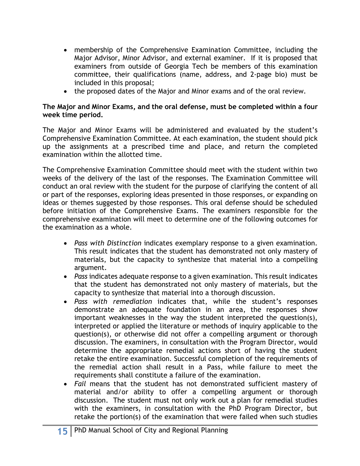- membership of the Comprehensive Examination Committee, including the Major Advisor, Minor Advisor, and external examiner. If it is proposed that examiners from outside of Georgia Tech be members of this examination committee, their qualifications (name, address, and 2-page bio) must be included in this proposal;
- the proposed dates of the Major and Minor exams and of the oral review.

#### **The Major and Minor Exams, and the oral defense, must be completed within a four week time period.**

The Major and Minor Exams will be administered and evaluated by the student's Comprehensive Examination Committee. At each examination, the student should pick up the assignments at a prescribed time and place, and return the completed examination within the allotted time.

The Comprehensive Examination Committee should meet with the student within two weeks of the delivery of the last of the responses. The Examination Committee will conduct an oral review with the student for the purpose of clarifying the content of all or part of the responses, exploring ideas presented in those responses, or expanding on ideas or themes suggested by those responses. This oral defense should be scheduled before initiation of the Comprehensive Exams. The examiners responsible for the comprehensive examination will meet to determine one of the following outcomes for the examination as a whole.

- *Pass with Distinction* indicates exemplary response to a given examination. This result indicates that the student has demonstrated not only mastery of materials, but the capacity to synthesize that material into a compelling argument.
- *Pass* indicates adequate response to a given examination. This result indicates that the student has demonstrated not only mastery of materials, but the capacity to synthesize that material into a thorough discussion.
- *Pass with remediation* indicates that, while the student's responses demonstrate an adequate foundation in an area, the responses show important weaknesses in the way the student interpreted the question(s), interpreted or applied the literature or methods of inquiry applicable to the question(s), or otherwise did not offer a compelling argument or thorough discussion. The examiners, in consultation with the Program Director, would determine the appropriate remedial actions short of having the student retake the entire examination. Successful completion of the requirements of the remedial action shall result in a Pass, while failure to meet the requirements shall constitute a failure of the examination.
- *Fail* means that the student has not demonstrated sufficient mastery of material and/or ability to offer a compelling argument or thorough discussion. The student must not only work out a plan for remedial studies with the examiners, in consultation with the PhD Program Director, but retake the portion(s) of the examination that were failed when such studies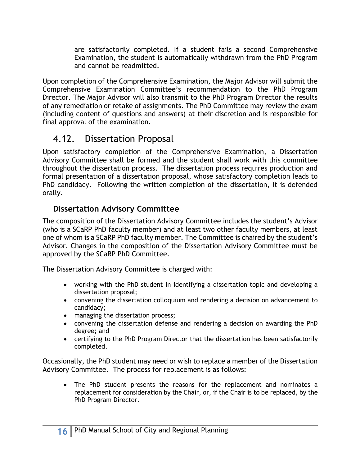are satisfactorily completed. If a student fails a second Comprehensive Examination, the student is automatically withdrawn from the PhD Program and cannot be readmitted.

Upon completion of the Comprehensive Examination, the Major Advisor will submit the Comprehensive Examination Committee's recommendation to the PhD Program Director. The Major Advisor will also transmit to the PhD Program Director the results of any remediation or retake of assignments. The PhD Committee may review the exam (including content of questions and answers) at their discretion and is responsible for final approval of the examination.

### 4.12. Dissertation Proposal

Upon satisfactory completion of the Comprehensive Examination, a Dissertation Advisory Committee shall be formed and the student shall work with this committee throughout the dissertation process. The dissertation process requires production and formal presentation of a dissertation proposal, whose satisfactory completion leads to PhD candidacy. Following the written completion of the dissertation, it is defended orally.

#### **Dissertation Advisory Committee**

The composition of the Dissertation Advisory Committee includes the student's Advisor (who is a SCaRP PhD faculty member) and at least two other faculty members, at least one of whom is a SCaRP PhD faculty member. The Committee is chaired by the student's Advisor. Changes in the composition of the Dissertation Advisory Committee must be approved by the SCaRP PhD Committee.

The Dissertation Advisory Committee is charged with:

- working with the PhD student in identifying a dissertation topic and developing a dissertation proposal;
- convening the dissertation colloquium and rendering a decision on advancement to candidacy;
- managing the dissertation process;
- convening the dissertation defense and rendering a decision on awarding the PhD degree; and
- certifying to the PhD Program Director that the dissertation has been satisfactorily completed.

Occasionally, the PhD student may need or wish to replace a member of the Dissertation Advisory Committee. The process for replacement is as follows:

• The PhD student presents the reasons for the replacement and nominates a replacement for consideration by the Chair, or, if the Chair is to be replaced, by the PhD Program Director.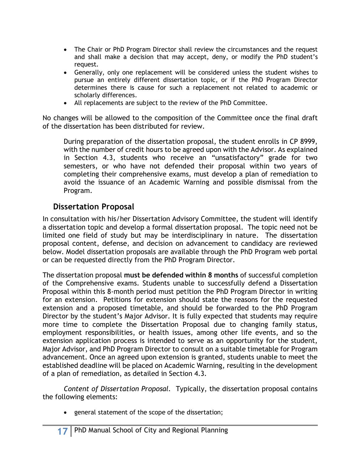- The Chair or PhD Program Director shall review the circumstances and the request and shall make a decision that may accept, deny, or modify the PhD student's request.
- Generally, only one replacement will be considered unless the student wishes to pursue an entirely different dissertation topic, or if the PhD Program Director determines there is cause for such a replacement not related to academic or scholarly differences.
- All replacements are subject to the review of the PhD Committee.

No changes will be allowed to the composition of the Committee once the final draft of the dissertation has been distributed for review.

During preparation of the dissertation proposal, the student enrolls in CP 8999, with the number of credit hours to be agreed upon with the Advisor. As explained in Section 4.3, students who receive an "unsatisfactory" grade for two semesters, or who have not defended their proposal within two years of completing their comprehensive exams, must develop a plan of remediation to avoid the issuance of an Academic Warning and possible dismissal from the Program.

#### **Dissertation Proposal**

In consultation with his/her Dissertation Advisory Committee, the student will identify a dissertation topic and develop a formal dissertation proposal. The topic need not be limited one field of study but may be interdisciplinary in nature. The dissertation proposal content, defense, and decision on advancement to candidacy are reviewed below. Model dissertation proposals are available through the PhD Program web portal or can be requested directly from the PhD Program Director.

The dissertation proposal **must be defended within 8 months** of successful completion of the Comprehensive exams. Students unable to successfully defend a Dissertation Proposal within this 8-month period must petition the PhD Program Director in writing for an extension. Petitions for extension should state the reasons for the requested extension and a proposed timetable, and should be forwarded to the PhD Program Director by the student's Major Advisor. It is fully expected that students may require more time to complete the Dissertation Proposal due to changing family status, employment responsibilities, or health issues, among other life events, and so the extension application process is intended to serve as an opportunity for the student, Major Advisor, and PhD Program Director to consult on a suitable timetable for Program advancement. Once an agreed upon extension is granted, students unable to meet the established deadline will be placed on Academic Warning, resulting in the development of a plan of remediation, as detailed in Section 4.3.

*Content of Dissertation Proposal.* Typically, the dissertation proposal contains the following elements:

• general statement of the scope of the dissertation;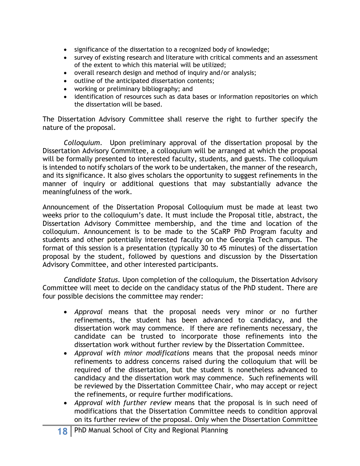- significance of the dissertation to a recognized body of knowledge;
- survey of existing research and literature with critical comments and an assessment of the extent to which this material will be utilized;
- overall research design and method of inquiry and/or analysis;
- outline of the anticipated dissertation contents;
- working or preliminary bibliography; and
- identification of resources such as data bases or information repositories on which the dissertation will be based.

The Dissertation Advisory Committee shall reserve the right to further specify the nature of the proposal.

*Colloquium.* Upon preliminary approval of the dissertation proposal by the Dissertation Advisory Committee, a colloquium will be arranged at which the proposal will be formally presented to interested faculty, students, and guests. The colloquium is intended to notify scholars of the work to be undertaken, the manner of the research, and its significance. It also gives scholars the opportunity to suggest refinements in the manner of inquiry or additional questions that may substantially advance the meaningfulness of the work.

Announcement of the Dissertation Proposal Colloquium must be made at least two weeks prior to the colloquium's date. It must include the Proposal title, abstract, the Dissertation Advisory Committee membership, and the time and location of the colloquium. Announcement is to be made to the SCaRP PhD Program faculty and students and other potentially interested faculty on the Georgia Tech campus. The format of this session is a presentation (typically 30 to 45 minutes) of the dissertation proposal by the student, followed by questions and discussion by the Dissertation Advisory Committee, and other interested participants.

*Candidate Status.* Upon completion of the colloquium, the Dissertation Advisory Committee will meet to decide on the candidacy status of the PhD student. There are four possible decisions the committee may render:

- *Approval* means that the proposal needs very minor or no further refinements, the student has been advanced to candidacy, and the dissertation work may commence. If there are refinements necessary, the candidate can be trusted to incorporate those refinements into the dissertation work without further review by the Dissertation Committee.
- *Approval with minor modifications* means that the proposal needs minor refinements to address concerns raised during the colloquium that will be required of the dissertation, but the student is nonetheless advanced to candidacy and the dissertation work may commence. Such refinements will be reviewed by the Dissertation Committee Chair, who may accept or reject the refinements, or require further modifications.
- *Approval with further review* means that the proposal is in such need of modifications that the Dissertation Committee needs to condition approval on its further review of the proposal. Only when the Dissertation Committee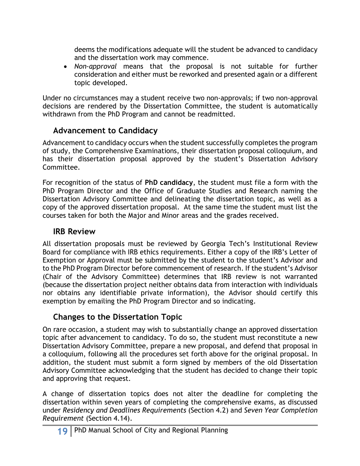deems the modifications adequate will the student be advanced to candidacy and the dissertation work may commence.

• *Non-approval* means that the proposal is not suitable for further consideration and either must be reworked and presented again or a different topic developed.

Under no circumstances may a student receive two non-approvals; if two non-approval decisions are rendered by the Dissertation Committee, the student is automatically withdrawn from the PhD Program and cannot be readmitted.

#### **Advancement to Candidacy**

Advancement to candidacy occurs when the student successfully completes the program of study, the Comprehensive Examinations, their dissertation proposal colloquium, and has their dissertation proposal approved by the student's Dissertation Advisory Committee.

For recognition of the status of **PhD candidacy**, the student must file a form with the PhD Program Director and the Office of Graduate Studies and Research naming the Dissertation Advisory Committee and delineating the dissertation topic, as well as a copy of the approved dissertation proposal. At the same time the student must list the courses taken for both the Major and Minor areas and the grades received.

#### **IRB Review**

All dissertation proposals must be reviewed by Georgia Tech's Institutional Review Board for compliance with IRB ethics requirements. Either a copy of the IRB's Letter of Exemption or Approval must be submitted by the student to the student's Advisor and to the PhD Program Director before commencement of research. If the student's Advisor (Chair of the Advisory Committee) determines that IRB review is not warranted (because the dissertation project neither obtains data from interaction with individuals nor obtains any identifiable private information), the Advisor should certify this exemption by emailing the PhD Program Director and so indicating.

### **Changes to the Dissertation Topic**

On rare occasion, a student may wish to substantially change an approved dissertation topic after advancement to candidacy. To do so, the student must reconstitute a new Dissertation Advisory Committee, prepare a new proposal, and defend that proposal in a colloquium, following all the procedures set forth above for the original proposal. In addition, the student must submit a form signed by members of the old Dissertation Advisory Committee acknowledging that the student has decided to change their topic and approving that request.

A change of dissertation topics does not alter the deadline for completing the dissertation within seven years of completing the comprehensive exams, as discussed under *Residency and Deadlines Requirements* (Section 4.2) and *Seven Year Completion Requirement* (Section 4.14).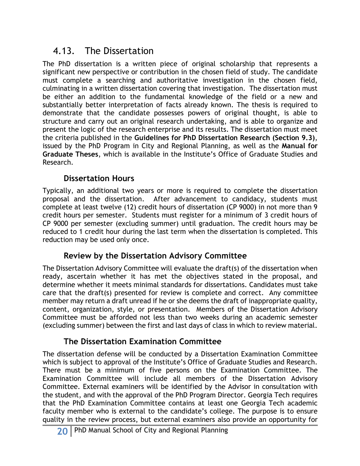### 4.13. The Dissertation

The PhD dissertation is a written piece of original scholarship that represents a significant new perspective or contribution in the chosen field of study. The candidate must complete a searching and authoritative investigation in the chosen field, culminating in a written dissertation covering that investigation. The dissertation must be either an addition to the fundamental knowledge of the field or a new and substantially better interpretation of facts already known. The thesis is required to demonstrate that the candidate possesses powers of original thought, is able to structure and carry out an original research undertaking, and is able to organize and present the logic of the research enterprise and its results. The dissertation must meet the criteria published in the **Guidelines for PhD Dissertation Research (Section 9.3)**, issued by the PhD Program in City and Regional Planning, as well as the **Manual for Graduate Theses**, which is available in the Institute's Office of Graduate Studies and Research.

#### **Dissertation Hours**

Typically, an additional two years or more is required to complete the dissertation proposal and the dissertation. After advancement to candidacy, students must complete at least twelve (12) credit hours of dissertation (CP 9000) in not more than 9 credit hours per semester. Students must register for a minimum of 3 credit hours of CP 9000 per semester (excluding summer) until graduation. The credit hours may be reduced to 1 credit hour during the last term when the dissertation is completed. This reduction may be used only once.

#### **Review by the Dissertation Advisory Committee**

The Dissertation Advisory Committee will evaluate the draft(s) of the dissertation when ready, ascertain whether it has met the objectives stated in the proposal, and determine whether it meets minimal standards for dissertations. Candidates must take care that the draft(s) presented for review is complete and correct. Any committee member may return a draft unread if he or she deems the draft of inappropriate quality, content, organization, style, or presentation. Members of the Dissertation Advisory Committee must be afforded not less than two weeks during an academic semester (excluding summer) between the first and last days of class in which to review material.

#### **The Dissertation Examination Committee**

The dissertation defense will be conducted by a Dissertation Examination Committee which is subject to approval of the Institute's Office of Graduate Studies and Research. There must be a minimum of five persons on the Examination Committee. The Examination Committee will include all members of the Dissertation Advisory Committee. External examiners will be identified by the Advisor in consultation with the student, and with the approval of the PhD Program Director. Georgia Tech requires that the PhD Examination Committee contains at least one Georgia Tech academic faculty member who is external to the candidate's college. The purpose is to ensure quality in the review process, but external examiners also provide an opportunity for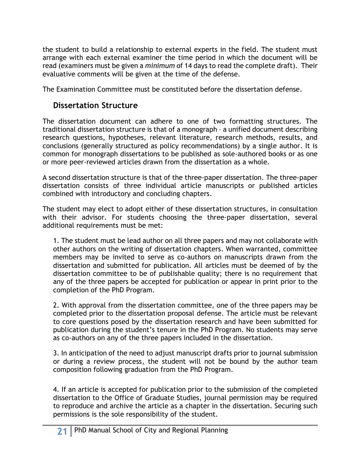the student to build a relationship to external experts in the field. The student must arrange with each external examiner the time period in which the document will be read (examiners must be given a *minimum* of 14 days to read the complete draft). Their evaluative comments will be given at the time of the defense.

The Examination Committee must be constituted before the dissertation defense.

#### **Dissertation Structure**

The dissertation document can adhere to one of two formatting structures. The traditional dissertation structure is that of a monograph – a unified document describing research questions, hypotheses, relevant literature, research methods, results, and conclusions (generally structured as policy recommendations) by a single author. It is common for monograph dissertations to be published as sole-authored books or as one or more peer-reviewed articles drawn from the dissertation as a whole.

A second dissertation structure is that of the three-paper dissertation. The three-paper dissertation consists of three individual article manuscripts or published articles combined with introductory and concluding chapters.

The student may elect to adopt either of these dissertation structures, in consultation with their advisor. For students choosing the three-paper dissertation, several additional requirements must be met:

1. The student must be lead author on all three papers and may not collaborate with other authors on the writing of dissertation chapters. When warranted, committee members may be invited to serve as co-authors on manuscripts drawn from the dissertation and submitted for publication. All articles must be deemed of by the dissertation committee to be of publishable quality; there is no requirement that any of the three papers be accepted for publication or appear in print prior to the completion of the PhD Program.

2. With approval from the dissertation committee, one of the three papers may be completed prior to the dissertation proposal defense. The article must be relevant to core questions posed by the dissertation research and have been submitted for publication during the student's tenure in the PhD Program. No students may serve as co-authors on any of the three papers included in the dissertation.

3. In anticipation of the need to adjust manuscript drafts prior to journal submission or during a review process, the student will not be bound by the author team composition following graduation from the PhD Program.

4. If an article is accepted for publication prior to the submission of the completed dissertation to the Office of Graduate Studies, journal permission may be required to reproduce and archive the article as a chapter in the dissertation. Securing such permissions is the sole responsibility of the student.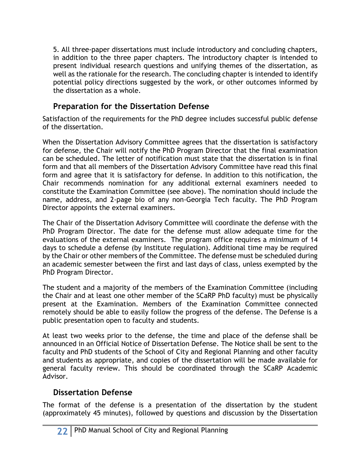5. All three-paper dissertations must include introductory and concluding chapters, in addition to the three paper chapters. The introductory chapter is intended to present individual research questions and unifying themes of the dissertation, as well as the rationale for the research. The concluding chapter is intended to identify potential policy directions suggested by the work, or other outcomes informed by the dissertation as a whole.

### **Preparation for the Dissertation Defense**

Satisfaction of the requirements for the PhD degree includes successful public defense of the dissertation.

When the Dissertation Advisory Committee agrees that the dissertation is satisfactory for defense, the Chair will notify the PhD Program Director that the final examination can be scheduled. The letter of notification must state that the dissertation is in final form and that all members of the Dissertation Advisory Committee have read this final form and agree that it is satisfactory for defense. In addition to this notification, the Chair recommends nomination for any additional external examiners needed to constitute the Examination Committee (see above). The nomination should include the name, address, and 2-page bio of any non-Georgia Tech faculty. The PhD Program Director appoints the external examiners.

The Chair of the Dissertation Advisory Committee will coordinate the defense with the PhD Program Director. The date for the defense must allow adequate time for the evaluations of the external examiners. The program office requires a *minimum* of 14 days to schedule a defense (by Institute regulation). Additional time may be required by the Chair or other members of the Committee. The defense must be scheduled during an academic semester between the first and last days of class, unless exempted by the PhD Program Director.

The student and a majority of the members of the Examination Committee (including the Chair and at least one other member of the SCaRP PhD faculty) must be physically present at the Examination. Members of the Examination Committee connected remotely should be able to easily follow the progress of the defense. The Defense is a public presentation open to faculty and students.

At least two weeks prior to the defense, the time and place of the defense shall be announced in an Official Notice of Dissertation Defense. The Notice shall be sent to the faculty and PhD students of the School of City and Regional Planning and other faculty and students as appropriate, and copies of the dissertation will be made available for general faculty review. This should be coordinated through the SCaRP Academic Advisor.

#### **Dissertation Defense**

The format of the defense is a presentation of the dissertation by the student (approximately 45 minutes), followed by questions and discussion by the Dissertation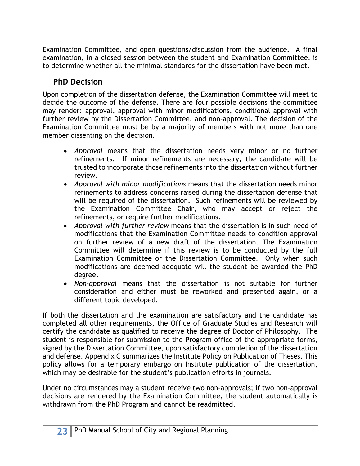Examination Committee, and open questions/discussion from the audience. A final examination, in a closed session between the student and Examination Committee, is to determine whether all the minimal standards for the dissertation have been met.

### **PhD Decision**

Upon completion of the dissertation defense, the Examination Committee will meet to decide the outcome of the defense. There are four possible decisions the committee may render: approval, approval with minor modifications, conditional approval with further review by the Dissertation Committee, and non-approval. The decision of the Examination Committee must be by a majority of members with not more than one member dissenting on the decision.

- *Approval* means that the dissertation needs very minor or no further refinements. If minor refinements are necessary, the candidate will be trusted to incorporate those refinements into the dissertation without further review.
- *Approval with minor modifications* means that the dissertation needs minor refinements to address concerns raised during the dissertation defense that will be required of the dissertation. Such refinements will be reviewed by the Examination Committee Chair, who may accept or reject the refinements, or require further modifications.
- *Approval with further review* means that the dissertation is in such need of modifications that the Examination Committee needs to condition approval on further review of a new draft of the dissertation. The Examination Committee will determine if this review is to be conducted by the full Examination Committee or the Dissertation Committee. Only when such modifications are deemed adequate will the student be awarded the PhD degree.
- *Non-approval* means that the dissertation is not suitable for further consideration and either must be reworked and presented again, or a different topic developed.

If both the dissertation and the examination are satisfactory and the candidate has completed all other requirements, the Office of Graduate Studies and Research will certify the candidate as qualified to receive the degree of Doctor of Philosophy. The student is responsible for submission to the Program office of the appropriate forms, signed by the Dissertation Committee, upon satisfactory completion of the dissertation and defense. Appendix C summarizes the Institute Policy on Publication of Theses. This policy allows for a temporary embargo on Institute publication of the dissertation, which may be desirable for the student's publication efforts in journals.

Under no circumstances may a student receive two non-approvals; if two non-approval decisions are rendered by the Examination Committee, the student automatically is withdrawn from the PhD Program and cannot be readmitted.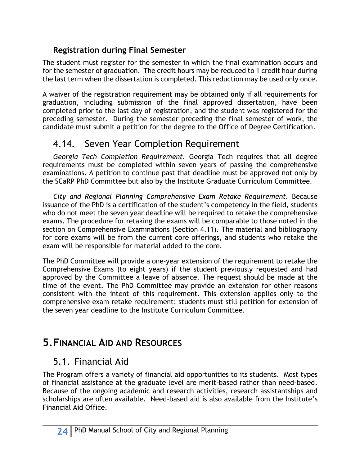### **Registration during Final Semester**

The student must register for the semester in which the final examination occurs and for the semester of graduation. The credit hours may be reduced to 1 credit hour during the last term when the dissertation is completed. This reduction may be used only once.

A waiver of the registration requirement may be obtained **only** if all requirements for graduation, including submission of the final approved dissertation, have been completed prior to the last day of registration, and the student was registered for the preceding semester. During the semester preceding the final semester of work, the candidate must submit a petition for the degree to the Office of Degree Certification.

### 4.14. Seven Year Completion Requirement

*Georgia Tech Completion Requirement.* Georgia Tech requires that all degree requirements must be completed within seven years of passing the comprehensive examinations. A petition to continue past that deadline must be approved not only by the SCaRP PhD Committee but also by the Institute Graduate Curriculum Committee.

*City and Regional Planning Comprehensive Exam Retake Requirement.* Because issuance of the PhD is a certification of the student's competency in the field, students who do not meet the seven year deadline will be required to retake the comprehensive exams. The procedure for retaking the exams will be comparable to those noted in the section on Comprehensive Examinations (Section 4.11). The material and bibliography for core exams will be from the current core offerings, and students who retake the exam will be responsible for material added to the core.

The PhD Committee will provide a one-year extension of the requirement to retake the Comprehensive Exams (to eight years) if the student previously requested and had approved by the Committee a leave of absence. The request should be made at the time of the event. The PhD Committee may provide an extension for other reasons consistent with the intent of this requirement. This extension applies only to the comprehensive exam retake requirement; students must still petition for extension of the seven year deadline to the Institute Curriculum Committee.

## **5.FINANCIAL AID AND RESOURCES**

### 5.1. Financial Aid

The Program offers a variety of financial aid opportunities to its students. Most types of financial assistance at the graduate level are merit-based rather than need-based. Because of the ongoing academic and research activities, research assistantships and scholarships are often available. Need-based aid is also available from the Institute's Financial Aid Office.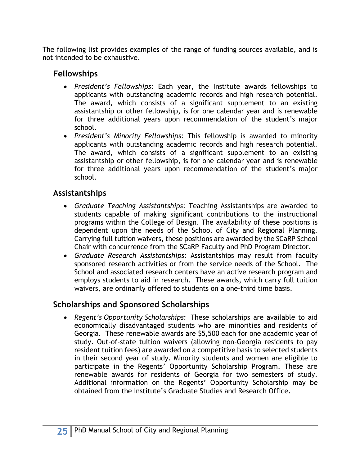The following list provides examples of the range of funding sources available, and is not intended to be exhaustive.

#### **Fellowships**

- *President's Fellowships*: Each year, the Institute awards fellowships to applicants with outstanding academic records and high research potential. The award, which consists of a significant supplement to an existing assistantship or other fellowship, is for one calendar year and is renewable for three additional years upon recommendation of the student's major school.
- *President's Minority Fellowships*: This fellowship is awarded to minority applicants with outstanding academic records and high research potential. The award, which consists of a significant supplement to an existing assistantship or other fellowship, is for one calendar year and is renewable for three additional years upon recommendation of the student's major school.

#### **Assistantships**

- *Graduate Teaching Assistantships*: Teaching Assistantships are awarded to students capable of making significant contributions to the instructional programs within the College of Design. The availability of these positions is dependent upon the needs of the School of City and Regional Planning. Carrying full tuition waivers, these positions are awarded by the SCaRP School Chair with concurrence from the SCaRP Faculty and PhD Program Director.
- *Graduate Research Assistantships*: Assistantships may result from faculty sponsored research activities or from the service needs of the School. The School and associated research centers have an active research program and employs students to aid in research. These awards, which carry full tuition waivers, are ordinarily offered to students on a one-third time basis.

#### **Scholarships and Sponsored Scholarships**

• *Regent's Opportunity Scholarships*: These scholarships are available to aid economically disadvantaged students who are minorities and residents of Georgia. These renewable awards are \$5,500 each for one academic year of study. Out-of-state tuition waivers (allowing non-Georgia residents to pay resident tuition fees) are awarded on a competitive basis to selected students in their second year of study. Minority students and women are eligible to participate in the Regents' Opportunity Scholarship Program. These are renewable awards for residents of Georgia for two semesters of study. Additional information on the Regents' Opportunity Scholarship may be obtained from the Institute's Graduate Studies and Research Office.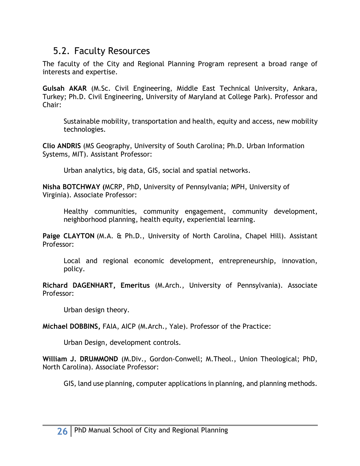### 5.2. Faculty Resources

The faculty of the City and Regional Planning Program represent a broad range of interests and expertise.

**Gulsah AKAR** (M.Sc. Civil Engineering, Middle East Technical University, Ankara, Turkey; Ph.D. Civil Engineering, University of Maryland at College Park). Professor and Chair:

Sustainable mobility, transportation and health, equity and access, new mobility technologies.

**Clio ANDRIS** (MS Geography, University of South Carolina; Ph.D. Urban Information Systems, MIT). Assistant Professor:

Urban analytics, big data, GIS, social and spatial networks.

**Nisha BOTCHWAY (**MCRP, PhD, University of Pennsylvania; MPH, University of Virginia). Associate Professor:

Healthy communities, community engagement, community development, neighborhood planning, health equity, experiential learning.

**Paige CLAYTON** (M.A. & Ph.D., University of North Carolina, Chapel Hill). Assistant Professor:

 Local and regional economic development, entrepreneurship, innovation, policy.

**Richard DAGENHART, Emeritus** (M.Arch., University of Pennsylvania). Associate Professor:

Urban design theory.

**Michael DOBBINS,** FAIA, AICP (M.Arch., Yale). Professor of the Practice:

Urban Design, development controls.

**William J. DRUMMOND** (M.Div., Gordon-Conwell; M.Theol., Union Theological; PhD, North Carolina). Associate Professor:

GIS, land use planning, computer applications in planning, and planning methods.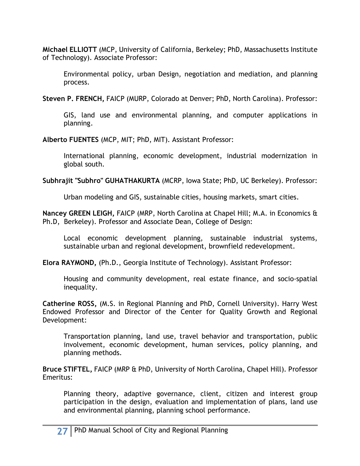**Michael ELLIOTT** (MCP, University of California, Berkeley; PhD, Massachusetts Institute of Technology). Associate Professor:

Environmental policy, urban Design, negotiation and mediation, and planning process.

**Steven P. FRENCH,** FAICP (MURP, Colorado at Denver; PhD, North Carolina). Professor:

GIS, land use and environmental planning, and computer applications in planning.

**Alberto FUENTES** (MCP, MIT; PhD, MIT). Assistant Professor:

International planning, economic development, industrial modernization in global south.

**Subhrajit "Subhro" GUHATHAKURTA** (MCRP, Iowa State; PhD, UC Berkeley). Professor:

Urban modeling and GIS, sustainable cities, housing markets, smart cities.

**Nancey GREEN LEIGH,** FAICP (MRP, North Carolina at Chapel Hill; M.A. in Economics & Ph.D, Berkeley). Professor and Associate Dean, College of Design:

Local economic development planning, sustainable industrial systems, sustainable urban and regional development, brownfield redevelopment.

**Elora RAYMOND,** (Ph.D., Georgia Institute of Technology). Assistant Professor:

Housing and community development, real estate finance, and socio-spatial inequality.

**Catherine ROSS,** (M.S. in Regional Planning and PhD, Cornell University). Harry West Endowed Professor and Director of the Center for Quality Growth and Regional Development:

Transportation planning, land use, travel behavior and transportation, public involvement, economic development, human services, policy planning, and planning methods.

**Bruce STIFTEL,** FAICP (MRP & PhD, University of North Carolina, Chapel Hill). Professor Emeritus:

Planning theory, adaptive governance, client, citizen and interest group participation in the design, evaluation and implementation of plans, land use and environmental planning, planning school performance.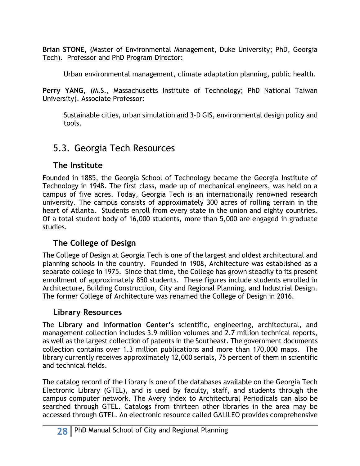**Brian STONE,** (Master of Environmental Management, Duke University; PhD, Georgia Tech). Professor and PhD Program Director:

Urban environmental management, climate adaptation planning, public health.

**Perry YANG,** (M.S., Massachusetts Institute of Technology; PhD National Taiwan University). Associate Professor:

Sustainable cities, urban simulation and 3-D GIS, environmental design policy and tools.

### 5.3. Georgia Tech Resources

#### **The Institute**

Founded in 1885, the Georgia School of Technology became the Georgia Institute of Technology in 1948. The first class, made up of mechanical engineers, was held on a campus of five acres. Today, Georgia Tech is an internationally renowned research university. The campus consists of approximately 300 acres of rolling terrain in the heart of Atlanta. Students enroll from every state in the union and eighty countries. Of a total student body of 16,000 students, more than 5,000 are engaged in graduate studies.

#### **The College of Design**

The College of Design at Georgia Tech is one of the largest and oldest architectural and planning schools in the country. Founded in 1908, Architecture was established as a separate college in 1975. Since that time, the College has grown steadily to its present enrollment of approximately 850 students. These figures include students enrolled in Architecture, Building Construction, City and Regional Planning, and Industrial Design. The former College of Architecture was renamed the College of Design in 2016.

#### **Library Resources**

The **Library and Information Center's** scientific, engineering, architectural, and management collection includes 3.9 million volumes and 2.7 million technical reports, as well as the largest collection of patents in the Southeast. The government documents collection contains over 1.3 million publications and more than 170,000 maps. The library currently receives approximately 12,000 serials, 75 percent of them in scientific and technical fields.

The catalog record of the Library is one of the databases available on the Georgia Tech Electronic Library (GTEL), and is used by faculty, staff, and students through the campus computer network. The Avery index to Architectural Periodicals can also be searched through GTEL. Catalogs from thirteen other libraries in the area may be accessed through GTEL. An electronic resource called GALILEO provides comprehensive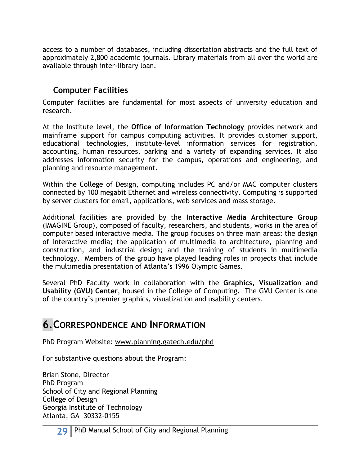access to a number of databases, including dissertation abstracts and the full text of approximately 2,800 academic journals. Library materials from all over the world are available through inter-library loan.

#### **Computer Facilities**

Computer facilities are fundamental for most aspects of university education and research.

At the Institute level, the **Office of Information Technology** provides network and mainframe support for campus computing activities. It provides customer support, educational technologies, institute-level information services for registration, accounting, human resources, parking and a variety of expanding services. It also addresses information security for the campus, operations and engineering, and planning and resource management.

Within the College of Design, computing includes PC and/or MAC computer clusters connected by 100 megabit Ethernet and wireless connectivity. Computing is supported by server clusters for email, applications, web services and mass storage.

Additional facilities are provided by the **Interactive Media Architecture Group**  (IMAGINE Group), composed of faculty, researchers, and students, works in the area of computer based interactive media. The group focuses on three main areas: the design of interactive media; the application of multimedia to architecture, planning and construction, and industrial design; and the training of students in multimedia technology. Members of the group have played leading roles in projects that include the multimedia presentation of Atlanta's 1996 Olympic Games.

Several PhD Faculty work in collaboration with the **Graphics, Visualization and Usability (GVU) Center**, housed in the College of Computing. The GVU Center is one of the country's premier graphics, visualization and usability centers.

### **6.CORRESPONDENCE AND INFORMATION**

PhD Program Website: www.planning.gatech.edu/phd

For substantive questions about the Program:

Brian Stone, Director PhD Program School of City and Regional Planning College of Design Georgia Institute of Technology Atlanta, GA 30332-0155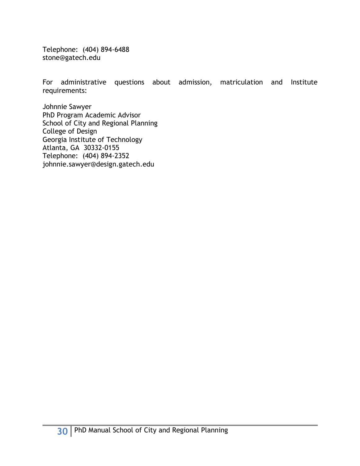Telephone: (404) 894-6488 stone@gatech.edu

For administrative questions about admission, matriculation and Institute requirements:

Johnnie Sawyer PhD Program Academic Advisor School of City and Regional Planning College of Design Georgia Institute of Technology Atlanta, GA 30332-0155 Telephone: (404) 894-2352 johnnie.sawyer@design.gatech.edu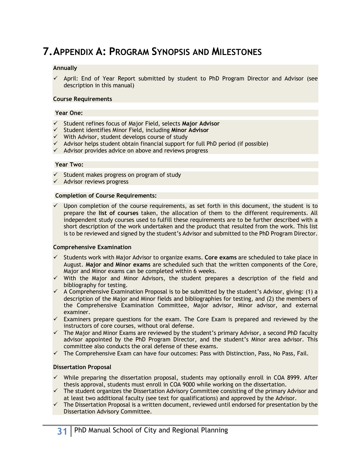## **7.APPENDIX A: PROGRAM SYNOPSIS AND MILESTONES**

#### **Annually**

 $\checkmark$  April: End of Year Report submitted by student to PhD Program Director and Advisor (see description in this manual)

#### **Course Requirements**

#### **Year One:**

- ü Student refines focus of Major Field, selects **Major Advisor**
- ü Student identifies Minor Field, including **Minor Advisor**
- $\checkmark$  With Advisor, student develops course of study
- $\checkmark$  Advisor helps student obtain financial support for full PhD period (if possible)
- $\checkmark$  Advisor provides advice on above and reviews progress

#### **Year Two:**

- $\checkmark$  Student makes progress on program of study
- $\checkmark$  Advisor reviews progress

#### **Completion of Course Requirements:**

 $\checkmark$  Upon completion of the course requirements, as set forth in this document, the student is to prepare the **list of courses** taken, the allocation of them to the different requirements. All independent study courses used to fulfill these requirements are to be further described with a short description of the work undertaken and the product that resulted from the work. This list is to be reviewed and signed by the student's Advisor and submitted to the PhD Program Director.

#### **Comprehensive Examination**

- ü Students work with Major Advisor to organize exams. **Core exams** are scheduled to take place in August. **Major and Minor exams** are scheduled such that the written components of the Core, Major and Minor exams can be completed within 6 weeks.
- $\checkmark$  With the Major and Minor Advisors, the student prepares a description of the field and bibliography for testing.
- $\checkmark$  A Comprehensive Examination Proposal is to be submitted by the student's Advisor, giving: (1) a description of the Major and Minor fields and bibliographies for testing, and (2) the members of the Comprehensive Examination Committee, Major advisor, Minor advisor, and external examiner.
- $\checkmark$  Examiners prepare questions for the exam. The Core Exam is prepared and reviewed by the instructors of core courses, without oral defense.
- $\checkmark$  The Major and Minor Exams are reviewed by the student's primary Advisor, a second PhD faculty advisor appointed by the PhD Program Director, and the student's Minor area advisor. This committee also conducts the oral defense of these exams.
- $\checkmark$  The Comprehensive Exam can have four outcomes: Pass with Distinction, Pass, No Pass, Fail.

#### **Dissertation Proposal**

- $\checkmark$  While preparing the dissertation proposal, students may optionally enroll in COA 8999. After thesis approval, students must enroll in COA 9000 while working on the dissertation.
- $\checkmark$  The student organizes the Dissertation Advisory Committee consisting of the primary Advisor and at least two additional faculty (see text for qualifications) and approved by the Advisor.
- $\checkmark$  The Dissertation Proposal is a written document, reviewed until endorsed for presentation by the Dissertation Advisory Committee.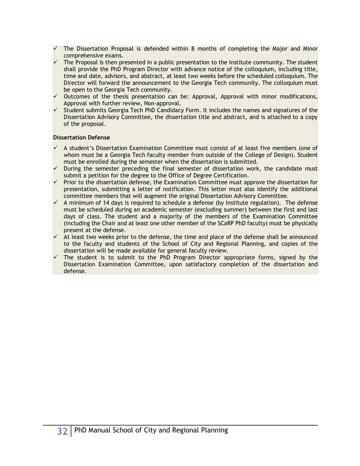- $\checkmark$  The Dissertation Proposal is defended within 8 months of completing the Major and Minor comprehensive exams.
- $\checkmark$  The Proposal is then presented in a public presentation to the Institute community. The student shall provide the PhD Program Director with advance notice of the colloquium, including title, time and date, advisors, and abstract, at least two weeks before the scheduled colloquium. The Director will forward the announcement to the Georgia Tech community. The colloquium must be open to the Georgia Tech community.
- $\checkmark$  Outcomes of the thesis presentation can be: Approval, Approval with minor modifications, Approval with further review, Non-approval.
- $\checkmark$  Student submits Georgia Tech PhD Candidacy Form. It includes the names and signatures of the Dissertation Advisory Committee, the dissertation title and abstract, and is attached to a copy of the proposal.

#### **Dissertation Defense**

- $\checkmark$  A student's Dissertation Examination Committee must consist of at least five members (one of whom must be a Georgia Tech faculty member from outside of the College of Design). Student must be enrolled during the semester when the dissertation is submitted.
- $\checkmark$  During the semester preceding the final semester of dissertation work, the candidate must submit a petition for the degree to the Office of Degree Certification.
- $\checkmark$  Prior to the dissertation defense, the Examination Committee must approve the dissertation for presentation, submitting a letter of notification. This letter must also identify the additional committee members that will augment the original Dissertation Advisory Committee.
- $\checkmark$  A minimum of 14 days is required to schedule a defense (by Institute regulation). The defense must be scheduled during an academic semester (excluding summer) between the first and last days of class. The student and a majority of the members of the Examination Committee (including the Chair and at least one other member of the SCaRP PhD faculty) must be physically present at the defense.
- $\checkmark$  At least two weeks prior to the defense, the time and place of the defense shall be announced to the faculty and students of the School of City and Regional Planning, and copies of the dissertation will be made available for general faculty review.
- $\checkmark$  The student is to submit to the PhD Program Director appropriate forms, signed by the Dissertation Examination Committee, upon satisfactory completion of the dissertation and defense.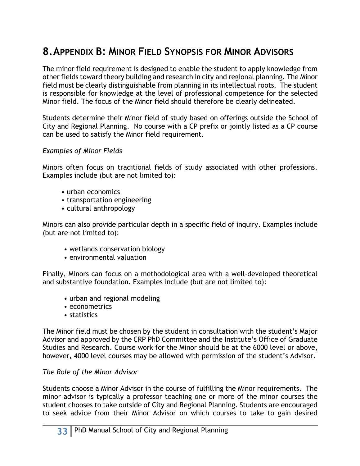## **8.APPENDIX B: MINOR FIELD SYNOPSIS FOR MINOR ADVISORS**

The minor field requirement is designed to enable the student to apply knowledge from other fields toward theory building and research in city and regional planning. The Minor field must be clearly distinguishable from planning in its intellectual roots. The student is responsible for knowledge at the level of professional competence for the selected Minor field. The focus of the Minor field should therefore be clearly delineated.

Students determine their Minor field of study based on offerings outside the School of City and Regional Planning. No course with a CP prefix or jointly listed as a CP course can be used to satisfy the Minor field requirement.

#### *Examples of Minor Fields*

Minors often focus on traditional fields of study associated with other professions. Examples include (but are not limited to):

- urban economics
- transportation engineering
- cultural anthropology

Minors can also provide particular depth in a specific field of inquiry. Examples include (but are not limited to):

- wetlands conservation biology
- environmental valuation

Finally, Minors can focus on a methodological area with a well-developed theoretical and substantive foundation. Examples include (but are not limited to):

- urban and regional modeling
- econometrics
- statistics

The Minor field must be chosen by the student in consultation with the student's Major Advisor and approved by the CRP PhD Committee and the Institute's Office of Graduate Studies and Research. Course work for the Minor should be at the 6000 level or above, however, 4000 level courses may be allowed with permission of the student's Advisor.

#### *The Role of the Minor Advisor*

Students choose a Minor Advisor in the course of fulfilling the Minor requirements. The minor advisor is typically a professor teaching one or more of the minor courses the student chooses to take outside of City and Regional Planning. Students are encouraged to seek advice from their Minor Advisor on which courses to take to gain desired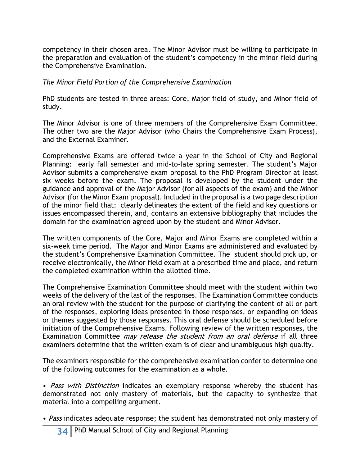competency in their chosen area. The Minor Advisor must be willing to participate in the preparation and evaluation of the student's competency in the minor field during the Comprehensive Examination.

#### *The Minor Field Portion of the Comprehensive Examination*

PhD students are tested in three areas: Core, Major field of study, and Minor field of study.

The Minor Advisor is one of three members of the Comprehensive Exam Committee. The other two are the Major Advisor (who Chairs the Comprehensive Exam Process), and the External Examiner.

Comprehensive Exams are offered twice a year in the School of City and Regional Planning: early fall semester and mid-to-late spring semester. The student's Major Advisor submits a comprehensive exam proposal to the PhD Program Director at least six weeks before the exam. The proposal is developed by the student under the guidance and approval of the Major Advisor (for all aspects of the exam) and the Minor Advisor (for the Minor Exam proposal). Included in the proposal is a two page description of the minor field that: clearly delineates the extent of the field and key questions or issues encompassed therein, and, contains an extensive bibliography that includes the domain for the examination agreed upon by the student and Minor Advisor.

The written components of the Core, Major and Minor Exams are completed within a six-week time period. The Major and Minor Exams are administered and evaluated by the student's Comprehensive Examination Committee. The student should pick up, or receive electronically, the Minor field exam at a prescribed time and place, and return the completed examination within the allotted time.

The Comprehensive Examination Committee should meet with the student within two weeks of the delivery of the last of the responses. The Examination Committee conducts an oral review with the student for the purpose of clarifying the content of all or part of the responses, exploring ideas presented in those responses, or expanding on ideas or themes suggested by those responses. This oral defense should be scheduled before initiation of the Comprehensive Exams. Following review of the written responses, the Examination Committee *may release the student from an oral defense* if all three examiners determine that the written exam is of clear and unambiguous high quality.

The examiners responsible for the comprehensive examination confer to determine one of the following outcomes for the examination as a whole.

• Pass with Distinction indicates an exemplary response whereby the student has demonstrated not only mastery of materials, but the capacity to synthesize that material into a compelling argument.

• *Pass* indicates adequate response; the student has demonstrated not only mastery of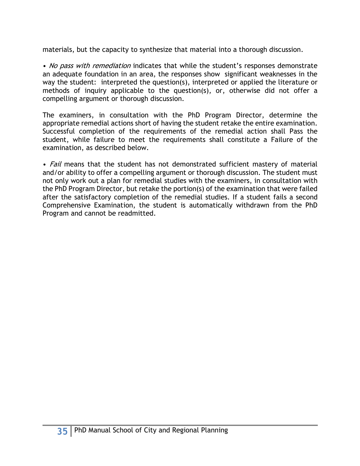materials, but the capacity to synthesize that material into a thorough discussion.

• No pass with remediation indicates that while the student's responses demonstrate an adequate foundation in an area, the responses show significant weaknesses in the way the student: interpreted the question(s), interpreted or applied the literature or methods of inquiry applicable to the question(s), or, otherwise did not offer a compelling argument or thorough discussion.

The examiners, in consultation with the PhD Program Director, determine the appropriate remedial actions short of having the student retake the entire examination. Successful completion of the requirements of the remedial action shall Pass the student, while failure to meet the requirements shall constitute a Failure of the examination, as described below.

• Fail means that the student has not demonstrated sufficient mastery of material and/or ability to offer a compelling argument or thorough discussion. The student must not only work out a plan for remedial studies with the examiners, in consultation with the PhD Program Director, but retake the portion(s) of the examination that were failed after the satisfactory completion of the remedial studies. If a student fails a second Comprehensive Examination, the student is automatically withdrawn from the PhD Program and cannot be readmitted.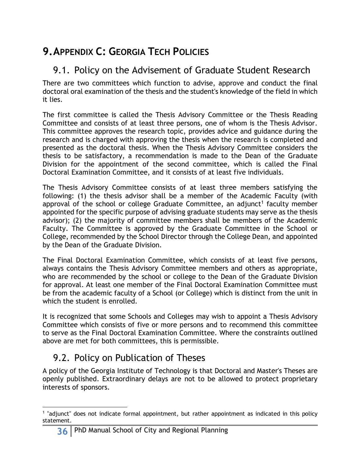## **9.APPENDIX C: GEORGIA TECH POLICIES**

### 9.1. Policy on the Advisement of Graduate Student Research

There are two committees which function to advise, approve and conduct the final doctoral oral examination of the thesis and the student's knowledge of the field in which it lies.

The first committee is called the Thesis Advisory Committee or the Thesis Reading Committee and consists of at least three persons, one of whom is the Thesis Advisor. This committee approves the research topic, provides advice and guidance during the research and is charged with approving the thesis when the research is completed and presented as the doctoral thesis. When the Thesis Advisory Committee considers the thesis to be satisfactory, a recommendation is made to the Dean of the Graduate Division for the appointment of the second committee, which is called the Final Doctoral Examination Committee, and it consists of at least five individuals.

The Thesis Advisory Committee consists of at least three members satisfying the following: (1) the thesis advisor shall be a member of the Academic Faculty (with approval of the school or college Graduate Committee, an adjunct<sup>1</sup> faculty member appointed for the specific purpose of advising graduate students may serve as the thesis advisor); (2) the majority of committee members shall be members of the Academic Faculty. The Committee is approved by the Graduate Committee in the School or College, recommended by the School Director through the College Dean, and appointed by the Dean of the Graduate Division.

The Final Doctoral Examination Committee, which consists of at least five persons, always contains the Thesis Advisory Committee members and others as appropriate, who are recommended by the school or college to the Dean of the Graduate Division for approval. At least one member of the Final Doctoral Examination Committee must be from the academic faculty of a School (or College) which is distinct from the unit in which the student is enrolled.

It is recognized that some Schools and Colleges may wish to appoint a Thesis Advisory Committee which consists of five or more persons and to recommend this committee to serve as the Final Doctoral Examination Committee. Where the constraints outlined above are met for both committees, this is permissible.

### 9.2. Policy on Publication of Theses

A policy of the Georgia Institute of Technology is that Doctoral and Master's Theses are openly published. Extraordinary delays are not to be allowed to protect proprietary interests of sponsors.

l <sup>1</sup> "adjunct" does not indicate formal appointment, but rather appointment as indicated in this policy statement.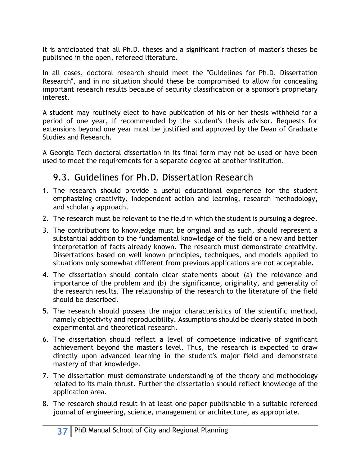It is anticipated that all Ph.D. theses and a significant fraction of master's theses be published in the open, refereed literature.

In all cases, doctoral research should meet the "Guidelines for Ph.D. Dissertation Research", and in no situation should these be compromised to allow for concealing important research results because of security classification or a sponsor's proprietary interest.

A student may routinely elect to have publication of his or her thesis withheld for a period of one year, if recommended by the student's thesis advisor. Requests for extensions beyond one year must be justified and approved by the Dean of Graduate Studies and Research.

A Georgia Tech doctoral dissertation in its final form may not be used or have been used to meet the requirements for a separate degree at another institution.

### 9.3. Guidelines for Ph.D. Dissertation Research

- 1. The research should provide a useful educational experience for the student emphasizing creativity, independent action and learning, research methodology, and scholarly approach.
- 2. The research must be relevant to the field in which the student is pursuing a degree.
- 3. The contributions to knowledge must be original and as such, should represent a substantial addition to the fundamental knowledge of the field or a new and better interpretation of facts already known. The research must demonstrate creativity. Dissertations based on well known principles, techniques, and models applied to situations only somewhat different from previous applications are not acceptable.
- 4. The dissertation should contain clear statements about (a) the relevance and importance of the problem and (b) the significance, originality, and generality of the research results. The relationship of the research to the literature of the field should be described.
- 5. The research should possess the major characteristics of the scientific method, namely objectivity and reproducibility. Assumptions should be clearly stated in both experimental and theoretical research.
- 6. The dissertation should reflect a level of competence indicative of significant achievement beyond the master's level. Thus, the research is expected to draw directly upon advanced learning in the student's major field and demonstrate mastery of that knowledge.
- 7. The dissertation must demonstrate understanding of the theory and methodology related to its main thrust. Further the dissertation should reflect knowledge of the application area.
- 8. The research should result in at least one paper publishable in a suitable refereed journal of engineering, science, management or architecture, as appropriate.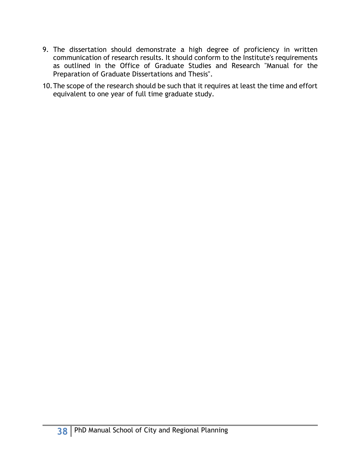- 9. The dissertation should demonstrate a high degree of proficiency in written communication of research results. It should conform to the Institute's requirements as outlined in the Office of Graduate Studies and Research "Manual for the Preparation of Graduate Dissertations and Thesis".
- 10.The scope of the research should be such that it requires at least the time and effort equivalent to one year of full time graduate study.